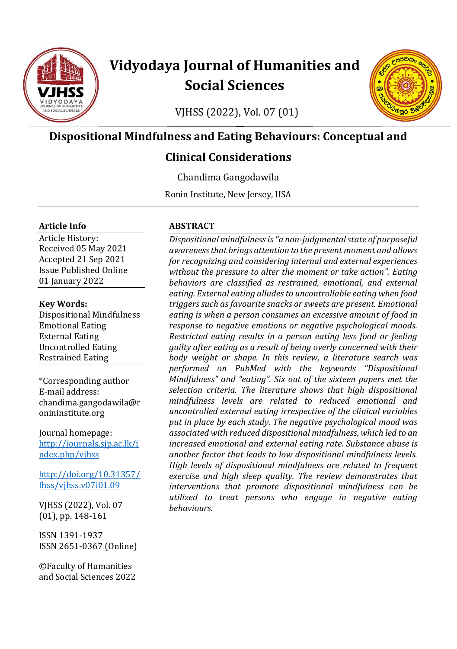

# **Vidyodaya Journal of Humanities and Social Sciences**

**POODO** 

**130**  $\bullet$  $\circ$ 

VJHSS (2022), Vol. 07 (01)

# **Dispositional Mindfulness and Eating Behaviours: Conceptual and**

# **Clinical Considerations**

Chandima Gangodawila

Ronin Institute, New Jersey, USA

#### **Article Info**

Article History: Received 05 May 2021 Accepted 21 Sep 2021 Issue Published Online 01 January 2022

#### **Key Words:**

Dispositional Mindfulness Emotional Eating External Eating Uncontrolled Eating Restrained Eating

\*Corresponding author E-mail address: chandima.gangodawila@r onininstitute.org

Journal homepage: [http://journals.sjp.ac.lk/i](http://journals.sjp.ac.lk/index.php/vjhss) [ndex.php/vjhss](http://journals.sjp.ac.lk/index.php/vjhss)

[http://doi.org/10.31357/](http://doi.org/10.31357/fhss/vjhss.v07i01.09) [fhss/vjhss.v07i01.09](http://doi.org/10.31357/fhss/vjhss.v07i01.09)

VJHSS (2022), Vol. 07 (01), pp. 148-161

ISSN 1391-1937 ISSN 2651-0367 (Online)

©Faculty of Humanities and Social Sciences 2022

#### **ABSTRACT**

*Dispositional mindfulness is "a non-judgmental state of purposeful awareness that brings attention to the present moment and allows for recognizing and considering internal and external experiences without the pressure to alter the moment or take action". Eating behaviors are classified as restrained, emotional, and external eating. External eating alludes to uncontrollable eating when food triggers such as favourite snacks or sweets are present. Emotional eating is when a person consumes an excessive amount of food in response to negative emotions or negative psychological moods. Restricted eating results in a person eating less food or feeling guilty after eating as a result of being overly concerned with their body weight or shape. In this review, a literature search was performed on PubMed with the keywords "Dispositional Mindfulness" and "eating". Six out of the sixteen papers met the selection criteria. The literature shows that high dispositional mindfulness levels are related to reduced emotional and uncontrolled external eating irrespective of the clinical variables put in place by each study. The negative psychological mood was associated with reduced dispositional mindfulness, which led to an increased emotional and external eating rate. Substance abuse is another factor that leads to low dispositional mindfulness levels. High levels of dispositional mindfulness are related to frequent exercise and high sleep quality. The review demonstrates that interventions that promote dispositional mindfulness can be utilized to treat persons who engage in negative eating behaviours.*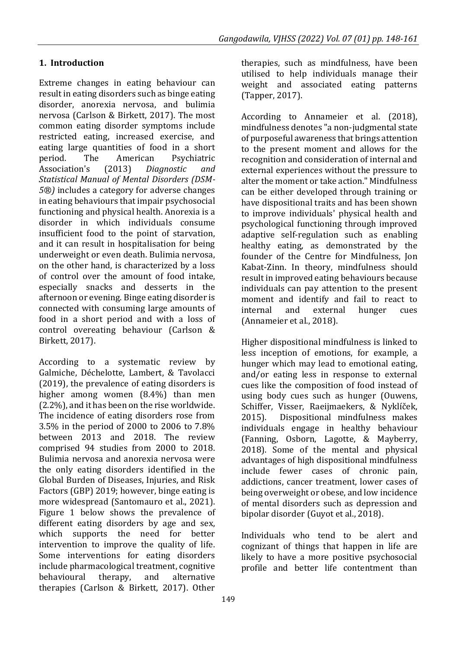## **1. Introduction**

Extreme changes in eating behaviour can result in eating disorders such as binge eating disorder, anorexia nervosa, and bulimia nervosa (Carlson & Birkett, 2017). The most common eating disorder symptoms include restricted eating, increased exercise, and eating large quantities of food in a short period. The American Psychiatric Association's (2013) *Diagnostic and Statistical Manual of Mental Disorders (DSM-5®)* includes a category for adverse changes in eating behaviours that impair psychosocial functioning and physical health. Anorexia is a disorder in which individuals consume insufficient food to the point of starvation, and it can result in hospitalisation for being underweight or even death. Bulimia nervosa, on the other hand, is characterized by a loss of control over the amount of food intake, especially snacks and desserts in the afternoon or evening. Binge eating disorder is connected with consuming large amounts of food in a short period and with a loss of control overeating behaviour (Carlson & Birkett, 2017).

According to a systematic review by Galmiche, Déchelotte, Lambert, & Tavolacci (2019), the prevalence of eating disorders is higher among women (8.4%) than men (2.2%), and it has been on the rise worldwide. The incidence of eating disorders rose from 3.5% in the period of 2000 to 2006 to 7.8% between 2013 and 2018. The review comprised 94 studies from 2000 to 2018. Bulimia nervosa and anorexia nervosa were the only eating disorders identified in the Global Burden of Diseases, Injuries, and Risk Factors (GBP) 2019; however, binge eating is more widespread (Santomauro et al., 2021). Figure 1 below shows the prevalence of different eating disorders by age and sex, which supports the need for better intervention to improve the quality of life. Some interventions for eating disorders include pharmacological treatment, cognitive behavioural therapy, and alternative therapies (Carlson & Birkett, 2017). Other

therapies, such as mindfulness, have been utilised to help individuals manage their weight and associated eating patterns (Tapper, 2017).

According to Annameier et al. (2018), mindfulness denotes "a non-judgmental state of purposeful awareness that brings attention to the present moment and allows for the recognition and consideration of internal and external experiences without the pressure to alter the moment or take action." Mindfulness can be either developed through training or have dispositional traits and has been shown to improve individuals' physical health and psychological functioning through improved adaptive self-regulation such as enabling healthy eating, as demonstrated by the founder of the Centre for Mindfulness, Jon Kabat-Zinn. In theory, mindfulness should result in improved eating behaviours because individuals can pay attention to the present moment and identify and fail to react to internal and external hunger cues (Annameier et al., 2018).

Higher dispositional mindfulness is linked to less inception of emotions, for example, a hunger which may lead to emotional eating, and/or eating less in response to external cues like the composition of food instead of using body cues such as hunger (Ouwens, Schiffer, Visser, Raeijmaekers, & Nyklíček, 2015). Dispositional mindfulness makes individuals engage in healthy behaviour (Fanning, Osborn, Lagotte, & Mayberry, 2018). Some of the mental and physical advantages of high dispositional mindfulness include fewer cases of chronic pain, addictions, cancer treatment, lower cases of being overweight or obese, and low incidence of mental disorders such as depression and bipolar disorder (Guyot et al., 2018).

Individuals who tend to be alert and cognizant of things that happen in life are likely to have a more positive psychosocial profile and better life contentment than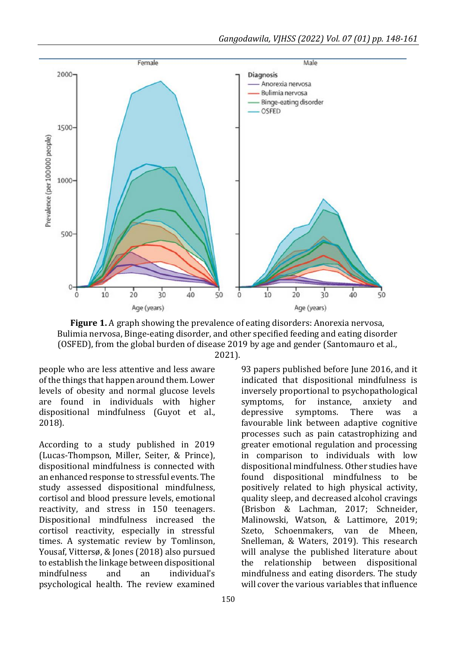

**Figure 1.** A graph showing the prevalence of eating disorders: Anorexia nervosa, Bulimia nervosa, Binge-eating disorder, and other specified feeding and eating disorder (OSFED), from the global burden of disease 2019 by age and gender (Santomauro et al., 2021).

people who are less attentive and less aware of the things that happen around them. Lower levels of obesity and normal glucose levels are found in individuals with higher dispositional mindfulness (Guyot et al., 2018).

According to a study published in 2019 (Lucas-Thompson, Miller, Seiter, & Prince), dispositional mindfulness is connected with an enhanced response to stressful events. The study assessed dispositional mindfulness, cortisol and blood pressure levels, emotional reactivity, and stress in 150 teenagers. Dispositional mindfulness increased the cortisol reactivity, especially in stressful times. A systematic review by Tomlinson, Yousaf, Vittersø, & Jones (2018) also pursued to establish the linkage between dispositional mindfulness and an individual's psychological health. The review examined 93 papers published before June 2016, and it indicated that dispositional mindfulness is inversely proportional to psychopathological symptoms, for instance, anxiety and depressive symptoms. There was a favourable link between adaptive cognitive processes such as pain catastrophizing and greater emotional regulation and processing in comparison to individuals with low dispositional mindfulness. Other studies have found dispositional mindfulness to be positively related to high physical activity, quality sleep, and decreased alcohol cravings (Brisbon & Lachman, 2017; Schneider, Malinowski, Watson, & Lattimore, 2019; Szeto, Schoenmakers, van de Mheen, Snelleman, & Waters, 2019). This research will analyse the published literature about the relationship between dispositional mindfulness and eating disorders. The study will cover the various variables that influence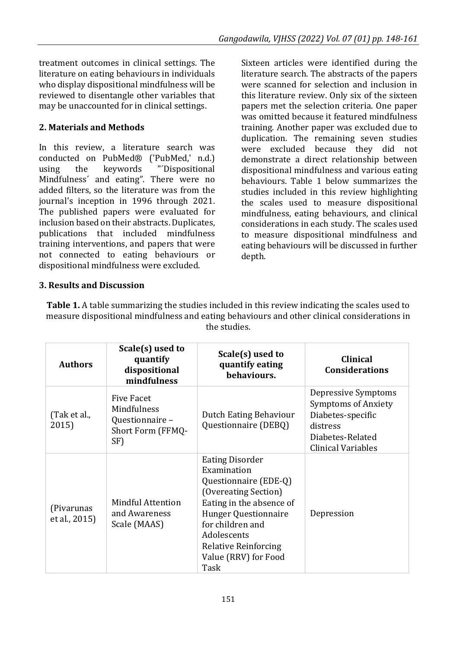treatment outcomes in clinical settings. The literature on eating behaviours in individuals who display dispositional mindfulness will be reviewed to disentangle other variables that may be unaccounted for in clinical settings.

#### **2. Materials and Methods**

In this review, a literature search was conducted on PubMed® ('PubMed,' n.d.) using the keywords "´Dispositional Mindfulness´ and eating". There were no added filters, so the literature was from the journal's inception in 1996 through 2021. The published papers were evaluated for inclusion based on their abstracts. Duplicates, publications that included mindfulness training interventions, and papers that were not connected to eating behaviours or dispositional mindfulness were excluded.

Sixteen articles were identified during the literature search. The abstracts of the papers were scanned for selection and inclusion in this literature review. Only six of the sixteen papers met the selection criteria. One paper was omitted because it featured mindfulness training. Another paper was excluded due to duplication. The remaining seven studies were excluded because they did not demonstrate a direct relationship between dispositional mindfulness and various eating behaviours. Table 1 below summarizes the studies included in this review highlighting the scales used to measure dispositional mindfulness, eating behaviours, and clinical considerations in each study. The scales used to measure dispositional mindfulness and eating behaviours will be discussed in further depth.

#### **3. Results and Discussion**

**Table 1.** A table summarizing the studies included in this review indicating the scales used to measure dispositional mindfulness and eating behaviours and other clinical considerations in the studies.

| <b>Authors</b>              | Scale(s) used to<br>quantify<br>dispositional<br>mindfulness             | Scale(s) used to<br>quantify eating<br>behaviours.                                                                                                                                                                                           | <b>Clinical</b><br><b>Considerations</b>                                                                                     |
|-----------------------------|--------------------------------------------------------------------------|----------------------------------------------------------------------------------------------------------------------------------------------------------------------------------------------------------------------------------------------|------------------------------------------------------------------------------------------------------------------------------|
| (Tak et al.,<br>2015)       | Five Facet<br>Mindfulness<br>Questionnaire -<br>Short Form (FFMQ-<br>SF) | Dutch Eating Behaviour<br>Questionnaire (DEBQ)                                                                                                                                                                                               | Depressive Symptoms<br><b>Symptoms of Anxiety</b><br>Diabetes-specific<br>distress<br>Diabetes-Related<br>Clinical Variables |
| (Pivarunas<br>et al., 2015) | Mindful Attention<br>and Awareness<br>Scale (MAAS)                       | <b>Eating Disorder</b><br>Examination<br>Questionnaire (EDE-Q)<br>(Overeating Section)<br>Eating in the absence of<br>Hunger Questionnaire<br>for children and<br>Adolescents<br><b>Relative Reinforcing</b><br>Value (RRV) for Food<br>Task | Depression                                                                                                                   |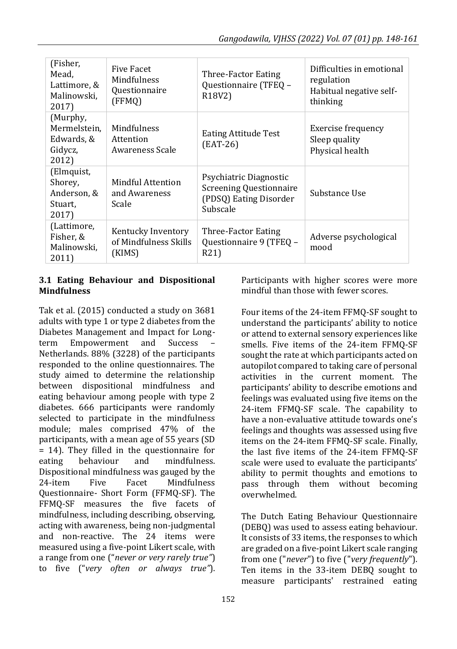| (Fisher,<br>Mead,<br>Lattimore, &<br>Malinowski.<br>2017)  | Five Facet<br>Mindfulness<br>Questionnaire<br>(FFMQ)  | Three-Factor Eating<br>Questionnaire (TFEQ -<br>R <sub>18</sub> V <sub>2</sub> )               | Difficulties in emotional<br>regulation<br>Habitual negative self-<br>thinking |
|------------------------------------------------------------|-------------------------------------------------------|------------------------------------------------------------------------------------------------|--------------------------------------------------------------------------------|
| (Murphy,<br>Mermelstein.<br>Edwards, &<br>Gidycz,<br>2012) | Mindfulness<br>Attention<br>Awareness Scale           | Eating Attitude Test<br>$(EAT-26)$                                                             | Exercise frequency<br>Sleep quality<br>Physical health                         |
| (Elmquist,<br>Shorey,<br>Anderson, &<br>Stuart,<br>2017)   | Mindful Attention<br>and Awareness<br>Scale           | Psychiatric Diagnostic<br><b>Screening Questionnaire</b><br>(PDSQ) Eating Disorder<br>Subscale | Substance Use                                                                  |
| (Lattimore,<br>Fisher, &<br>Malinowski.<br>2011)           | Kentucky Inventory<br>of Mindfulness Skills<br>(KIMS) | Three-Factor Eating<br>Ouestionnaire 9 (TFEO -<br>R21)                                         | Adverse psychological<br>mood                                                  |

#### **3.1 Eating Behaviour and Dispositional Mindfulness**

Tak et al. (2015) conducted a study on 3681 adults with type 1 or type 2 diabetes from the Diabetes Management and Impact for Longterm Empowerment and Success – Netherlands. 88% (3228) of the participants responded to the online questionnaires. The study aimed to determine the relationship between dispositional mindfulness and eating behaviour among people with type 2 diabetes. 666 participants were randomly selected to participate in the mindfulness module; males comprised 47% of the participants, with a mean age of 55 years (SD = 14). They filled in the questionnaire for eating behaviour and mindfulness. Dispositional mindfulness was gauged by the 24-item Five Facet Mindfulness Questionnaire- Short Form (FFMQ-SF). The FFMQ-SF measures the five facets of mindfulness, including describing, observing, acting with awareness, being non-judgmental and non-reactive. The 24 items were measured using a five-point Likert scale, with a range from one ("*never or very rarely true"*) to five ("*very often or always true"*). Participants with higher scores were more mindful than those with fewer scores.

Four items of the 24-item FFMQ-SF sought to understand the participants' ability to notice or attend to external sensory experiences like smells. Five items of the 24-item FFMQ-SF sought the rate at which participants acted on autopilot compared to taking care of personal activities in the current moment. The participants' ability to describe emotions and feelings was evaluated using five items on the 24-item FFMQ-SF scale. The capability to have a non-evaluative attitude towards one's feelings and thoughts was assessed using five items on the 24-item FFMQ-SF scale. Finally, the last five items of the 24-item FFMQ-SF scale were used to evaluate the participants' ability to permit thoughts and emotions to pass through them without becoming overwhelmed.

The Dutch Eating Behaviour Questionnaire (DEBQ) was used to assess eating behaviour. It consists of 33 items, the responses to which are graded on a five-point Likert scale ranging from one ("*never*") to five ("*very frequently*"). Ten items in the 33-item DEBQ sought to measure participants' restrained eating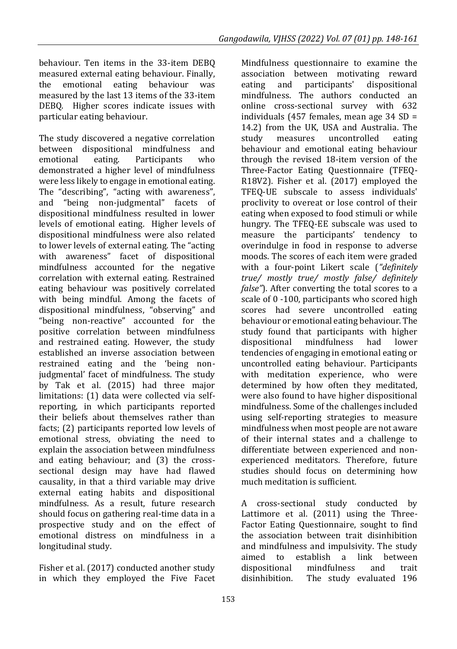behaviour. Ten items in the 33-item DEBQ measured external eating behaviour. Finally, the emotional eating behaviour was measured by the last 13 items of the 33-item DEBQ. Higher scores indicate issues with particular eating behaviour.

The study discovered a negative correlation between dispositional mindfulness and emotional eating. Participants who demonstrated a higher level of mindfulness were less likely to engage in emotional eating. The "describing", "acting with awareness", and "being non-judgmental" facets of dispositional mindfulness resulted in lower levels of emotional eating. Higher levels of dispositional mindfulness were also related to lower levels of external eating. The "acting with awareness" facet of dispositional mindfulness accounted for the negative correlation with external eating. Restrained eating behaviour was positively correlated with being mindful. Among the facets of dispositional mindfulness, "observing" and "being non-reactive" accounted for the positive correlation between mindfulness and restrained eating. However, the study established an inverse association between restrained eating and the 'being nonjudgmental' facet of mindfulness. The study by Tak et al. (2015) had three major limitations: (1) data were collected via selfreporting, in which participants reported their beliefs about themselves rather than facts; (2) participants reported low levels of emotional stress, obviating the need to explain the association between mindfulness and eating behaviour; and (3) the crosssectional design may have had flawed causality, in that a third variable may drive external eating habits and dispositional mindfulness. As a result, future research should focus on gathering real-time data in a prospective study and on the effect of emotional distress on mindfulness in a longitudinal study.

Fisher et al. (2017) conducted another study in which they employed the Five Facet Mindfulness questionnaire to examine the association between motivating reward eating and participants' dispositional mindfulness. The authors conducted an online cross-sectional survey with 632 individuals (457 females, mean age 34 SD = 14.2) from the UK, USA and Australia. The study measures uncontrolled eating behaviour and emotional eating behaviour through the revised 18-item version of the Three-Factor Eating Questionnaire (TFEQ-R18V2). Fisher et al. (2017) employed the TFEQ-UE subscale to assess individuals' proclivity to overeat or lose control of their eating when exposed to food stimuli or while hungry. The TFEQ-EE subscale was used to measure the participants' tendency to overindulge in food in response to adverse moods. The scores of each item were graded with a four-point Likert scale (*"definitely true/ mostly true/ mostly false/ definitely false"*). After converting the total scores to a scale of 0 -100, participants who scored high scores had severe uncontrolled eating behaviour or emotional eating behaviour. The study found that participants with higher dispositional mindfulness had lower tendencies of engaging in emotional eating or uncontrolled eating behaviour. Participants with meditation experience, who were determined by how often they meditated, were also found to have higher dispositional mindfulness. Some of the challenges included using self-reporting strategies to measure mindfulness when most people are not aware of their internal states and a challenge to differentiate between experienced and nonexperienced meditators. Therefore, future studies should focus on determining how much meditation is sufficient.

A cross-sectional study conducted by Lattimore et al. (2011) using the Three-Factor Eating Questionnaire, sought to find the association between trait disinhibition and mindfulness and impulsivity. The study aimed to establish a link between dispositional mindfulness and trait disinhibition. The study evaluated 196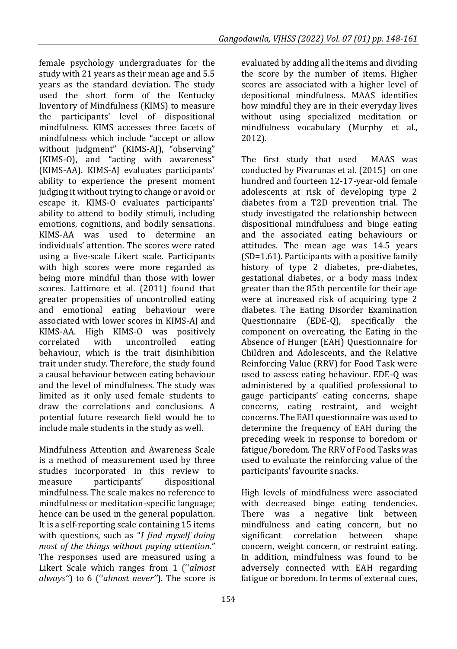female psychology undergraduates for the study with 21 years as their mean age and 5.5 years as the standard deviation. The study used the short form of the Kentucky Inventory of Mindfulness (KIMS) to measure the participants' level of dispositional mindfulness. KIMS accesses three facets of mindfulness which include "accept or allow without judgment" (KIMS-AJ), "observing" (KIMS-O), and "acting with awareness" (KIMS-AA). KIMS-AJ evaluates participants' ability to experience the present moment judging it without trying to change or avoid or escape it. KIMS-O evaluates participants' ability to attend to bodily stimuli, including emotions, cognitions, and bodily sensations. KIMS-AA was used to determine an individuals' attention. The scores were rated using a five-scale Likert scale. Participants with high scores were more regarded as being more mindful than those with lower scores. Lattimore et al. (2011) found that greater propensities of uncontrolled eating and emotional eating behaviour were associated with lower scores in KIMS-AJ and KIMS-AA. High KIMS-O was positively correlated with uncontrolled eating behaviour, which is the trait disinhibition trait under study. Therefore, the study found a causal behaviour between eating behaviour and the level of mindfulness. The study was limited as it only used female students to draw the correlations and conclusions. A potential future research field would be to include male students in the study as well.

Mindfulness Attention and Awareness Scale is a method of measurement used by three studies incorporated in this review to measure participants' dispositional mindfulness. The scale makes no reference to mindfulness or meditation-specific language; hence can be used in the general population. It is a self-reporting scale containing 15 items with questions, such as "*I find myself doing most of the things without paying attention*." The responses used are measured using a Likert Scale which ranges from 1 (''*almost always''*) to 6 (''*almost never''*). The score is evaluated by adding all the items and dividing the score by the number of items. Higher scores are associated with a higher level of depositional mindfulness. MAAS identifies how mindful they are in their everyday lives without using specialized meditation or mindfulness vocabulary (Murphy et al., 2012).

The first study that used MAAS was conducted by Pivarunas et al. (2015) on one hundred and fourteen 12-17-year-old female adolescents at risk of developing type 2 diabetes from a T2D prevention trial. The study investigated the relationship between dispositional mindfulness and binge eating and the associated eating behaviours or attitudes. The mean age was 14.5 years (SD=1.61). Participants with a positive family history of type 2 diabetes, pre-diabetes, gestational diabetes, or a body mass index greater than the 85th percentile for their age were at increased risk of acquiring type 2 diabetes. The Eating Disorder Examination Questionnaire (EDE-Q), specifically the component on overeating, the Eating in the Absence of Hunger (EAH) Questionnaire for Children and Adolescents, and the Relative Reinforcing Value (RRV) for Food Task were used to assess eating behaviour. EDE-Q was administered by a qualified professional to gauge participants' eating concerns, shape concerns, eating restraint, and weight concerns. The EAH questionnaire was used to determine the frequency of EAH during the preceding week in response to boredom or fatigue/boredom. The RRV of Food Tasks was used to evaluate the reinforcing value of the participants' favourite snacks.

High levels of mindfulness were associated with decreased binge eating tendencies. There was a negative link between mindfulness and eating concern, but no significant correlation between shape concern, weight concern, or restraint eating. In addition, mindfulness was found to be adversely connected with EAH regarding fatigue or boredom. In terms of external cues,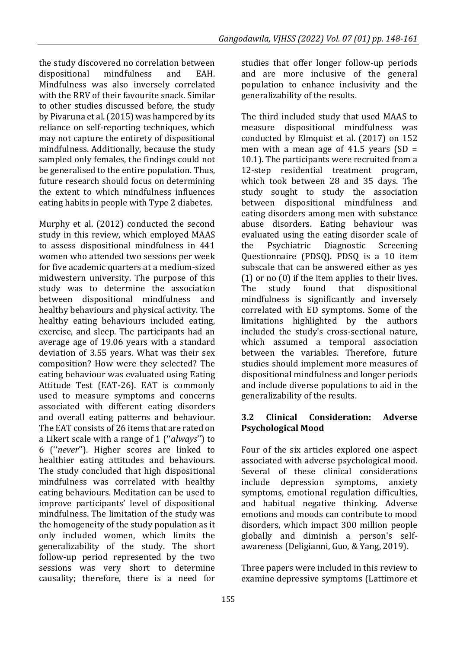the study discovered no correlation between dispositional mindfulness and EAH. Mindfulness was also inversely correlated with the RRV of their favourite snack. Similar to other studies discussed before, the study by Pivaruna et al. (2015) was hampered by its reliance on self-reporting techniques, which may not capture the entirety of dispositional mindfulness. Additionally, because the study sampled only females, the findings could not be generalised to the entire population. Thus, future research should focus on determining the extent to which mindfulness influences eating habits in people with Type 2 diabetes.

Murphy et al. (2012) conducted the second study in this review, which employed MAAS to assess dispositional mindfulness in 441 women who attended two sessions per week for five academic quarters at a medium-sized midwestern university. The purpose of this study was to determine the association between dispositional mindfulness and healthy behaviours and physical activity. The healthy eating behaviours included eating, exercise, and sleep. The participants had an average age of 19.06 years with a standard deviation of 3.55 years. What was their sex composition? How were they selected? The eating behaviour was evaluated using Eating Attitude Test (EAT-26). EAT is commonly used to measure symptoms and concerns associated with different eating disorders and overall eating patterns and behaviour. The EAT consists of 26 items that are rated on a Likert scale with a range of 1 (''*always*'') to 6 (''*never*''). Higher scores are linked to healthier eating attitudes and behaviours. The study concluded that high dispositional mindfulness was correlated with healthy eating behaviours. Meditation can be used to improve participants' level of dispositional mindfulness. The limitation of the study was the homogeneity of the study population as it only included women, which limits the generalizability of the study. The short follow-up period represented by the two sessions was very short to determine causality; therefore, there is a need for

studies that offer longer follow-up periods and are more inclusive of the general population to enhance inclusivity and the generalizability of the results.

The third included study that used MAAS to measure dispositional mindfulness was conducted by Elmquist et al. (2017) on 152 men with a mean age of  $41.5$  years (SD = 10.1). The participants were recruited from a 12-step residential treatment program, which took between 28 and 35 days. The study sought to study the association between dispositional mindfulness and eating disorders among men with substance abuse disorders. Eating behaviour was evaluated using the eating disorder scale of the Psychiatric Diagnostic Screening Questionnaire (PDSQ). PDSQ is a 10 item subscale that can be answered either as yes (1) or no (0) if the item applies to their lives. The study found that dispositional mindfulness is significantly and inversely correlated with ED symptoms. Some of the limitations highlighted by the authors included the study's cross-sectional nature, which assumed a temporal association between the variables. Therefore, future studies should implement more measures of dispositional mindfulness and longer periods and include diverse populations to aid in the generalizability of the results.

#### **3.2 Clinical Consideration: Adverse Psychological Mood**

Four of the six articles explored one aspect associated with adverse psychological mood. Several of these clinical considerations include depression symptoms, anxiety symptoms, emotional regulation difficulties, and habitual negative thinking. Adverse emotions and moods can contribute to mood disorders, which impact 300 million people globally and diminish a person's selfawareness (Deligianni, Guo, & Yang, 2019).

Three papers were included in this review to examine depressive symptoms (Lattimore et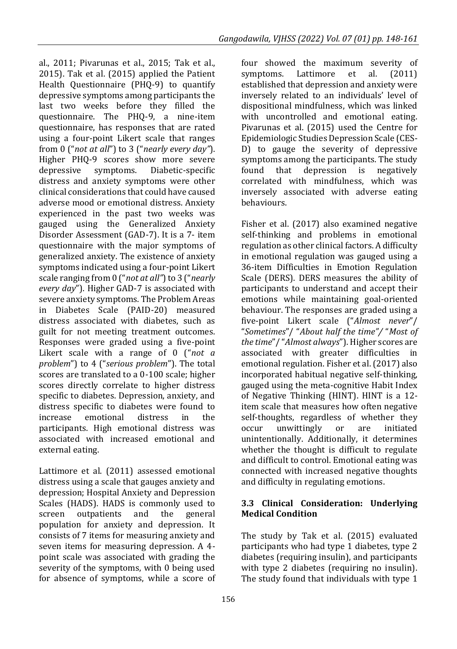al., 2011; Pivarunas et al., 2015; Tak et al., 2015). Tak et al. (2015) applied the Patient Health Questionnaire (PHQ-9) to quantify depressive symptoms among participants the last two weeks before they filled the questionnaire. The PHQ-9, a nine-item questionnaire, has responses that are rated using a four-point Likert scale that ranges from 0 ("*not at all*") to 3 ("*nearly every day"*). Higher PHQ-9 scores show more severe depressive symptoms. Diabetic-specific distress and anxiety symptoms were other clinical considerations that could have caused adverse mood or emotional distress. Anxiety experienced in the past two weeks was gauged using the Generalized Anxiety Disorder Assessment (GAD-7). It is a 7- item questionnaire with the major symptoms of generalized anxiety. The existence of anxiety symptoms indicated using a four-point Likert scale ranging from 0 ("*not at all"*) to 3 ("*nearly every day*"). Higher GAD-7 is associated with severe anxiety symptoms. The Problem Areas in Diabetes Scale (PAID-20) measured distress associated with diabetes, such as guilt for not meeting treatment outcomes. Responses were graded using a five-point Likert scale with a range of 0 ("*not a problem*") to 4 ("*serious problem*"). The total scores are translated to a 0-100 scale; higher scores directly correlate to higher distress specific to diabetes. Depression, anxiety, and distress specific to diabetes were found to increase emotional distress in the participants. High emotional distress was associated with increased emotional and external eating.

Lattimore et al. (2011) assessed emotional distress using a scale that gauges anxiety and depression; Hospital Anxiety and Depression Scales (HADS). HADS is commonly used to screen outpatients and the general population for anxiety and depression. It consists of 7 items for measuring anxiety and seven items for measuring depression. A 4 point scale was associated with grading the severity of the symptoms, with 0 being used for absence of symptoms, while a score of

four showed the maximum severity of symptoms. Lattimore et al. (2011) established that depression and anxiety were inversely related to an individuals' level of dispositional mindfulness, which was linked with uncontrolled and emotional eating. Pivarunas et al. (2015) used the Centre for Epidemiologic Studies Depression Scale (CES-D) to gauge the severity of depressive symptoms among the participants. The study found that depression is negatively correlated with mindfulness, which was inversely associated with adverse eating behaviours.

Fisher et al. (2017) also examined negative self-thinking and problems in emotional regulation as other clinical factors. A difficulty in emotional regulation was gauged using a 36-item Difficulties in Emotion Regulation Scale (DERS). DERS measures the ability of participants to understand and accept their emotions while maintaining goal-oriented behaviour. The responses are graded using a five-point Likert scale ("*Almost never*"/ "*Sometimes*"/ "*About half the time"/* "*Most of the time*"/ "*Almost always*"). Higher scores are associated with greater difficulties in emotional regulation. Fisher et al. (2017) also incorporated habitual negative self-thinking, gauged using the meta-cognitive Habit Index of Negative Thinking (HINT). HINT is a 12 item scale that measures how often negative self-thoughts, regardless of whether they occur unwittingly or are initiated unintentionally. Additionally, it determines whether the thought is difficult to regulate and difficult to control. Emotional eating was connected with increased negative thoughts and difficulty in regulating emotions.

#### **3.3 Clinical Consideration: Underlying Medical Condition**

The study by Tak et al. (2015) evaluated participants who had type 1 diabetes, type 2 diabetes (requiring insulin), and participants with type 2 diabetes (requiring no insulin). The study found that individuals with type 1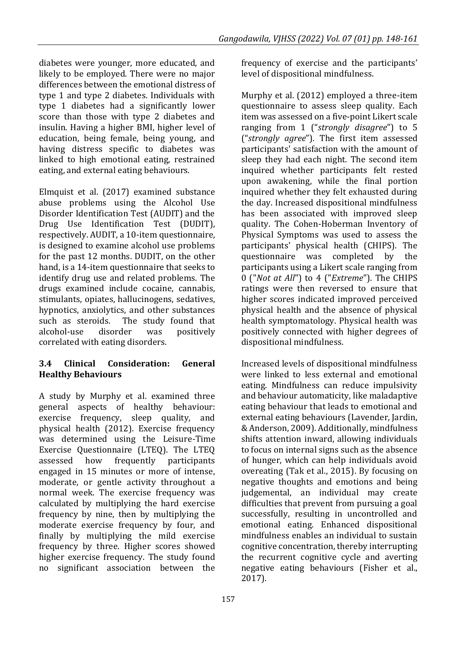diabetes were younger, more educated, and likely to be employed. There were no major differences between the emotional distress of type 1 and type 2 diabetes. Individuals with type 1 diabetes had a significantly lower score than those with type 2 diabetes and insulin. Having a higher BMI, higher level of education, being female, being young, and having distress specific to diabetes was linked to high emotional eating, restrained eating, and external eating behaviours.

Elmquist et al. (2017) examined substance abuse problems using the Alcohol Use Disorder Identification Test (AUDIT) and the Drug Use Identification Test (DUDIT), respectively. AUDIT, a 10-item questionnaire, is designed to examine alcohol use problems for the past 12 months. DUDIT, on the other hand, is a 14-item questionnaire that seeks to identify drug use and related problems. The drugs examined include cocaine, cannabis, stimulants, opiates, hallucinogens, sedatives, hypnotics, anxiolytics, and other substances such as steroids. The study found that alcohol-use disorder was positively correlated with eating disorders.

### **3.4 Clinical Consideration: General Healthy Behaviours**

A study by Murphy et al. examined three general aspects of healthy behaviour: exercise frequency, sleep quality, and physical health (2012). Exercise frequency was determined using the Leisure-Time Exercise Questionnaire (LTEQ). The LTEQ assessed how frequently participants engaged in 15 minutes or more of intense, moderate, or gentle activity throughout a normal week. The exercise frequency was calculated by multiplying the hard exercise frequency by nine, then by multiplying the moderate exercise frequency by four, and finally by multiplying the mild exercise frequency by three. Higher scores showed higher exercise frequency. The study found no significant association between the frequency of exercise and the participants' level of dispositional mindfulness.

Murphy et al. (2012) employed a three-item questionnaire to assess sleep quality. Each item was assessed on a five-point Likert scale ranging from 1 ("*strongly disagree*") to 5 ("*strongly agree*"). The first item assessed participants' satisfaction with the amount of sleep they had each night. The second item inquired whether participants felt rested upon awakening, while the final portion inquired whether they felt exhausted during the day. Increased dispositional mindfulness has been associated with improved sleep quality. The Cohen-Hoberman Inventory of Physical Symptoms was used to assess the participants' physical health (CHIPS). The questionnaire was completed by the participants using a Likert scale ranging from 0 ("*Not at All*") to 4 ("*Extreme*"). The CHIPS ratings were then reversed to ensure that higher scores indicated improved perceived physical health and the absence of physical health symptomatology. Physical health was positively connected with higher degrees of dispositional mindfulness.

Increased levels of dispositional mindfulness were linked to less external and emotional eating. Mindfulness can reduce impulsivity and behaviour automaticity, like maladaptive eating behaviour that leads to emotional and external eating behaviours (Lavender, Jardin, & Anderson, 2009). Additionally, mindfulness shifts attention inward, allowing individuals to focus on internal signs such as the absence of hunger, which can help individuals avoid overeating (Tak et al., 2015). By focusing on negative thoughts and emotions and being judgemental, an individual may create difficulties that prevent from pursuing a goal successfully, resulting in uncontrolled and emotional eating. Enhanced dispositional mindfulness enables an individual to sustain cognitive concentration, thereby interrupting the recurrent cognitive cycle and averting negative eating behaviours (Fisher et al., 2017).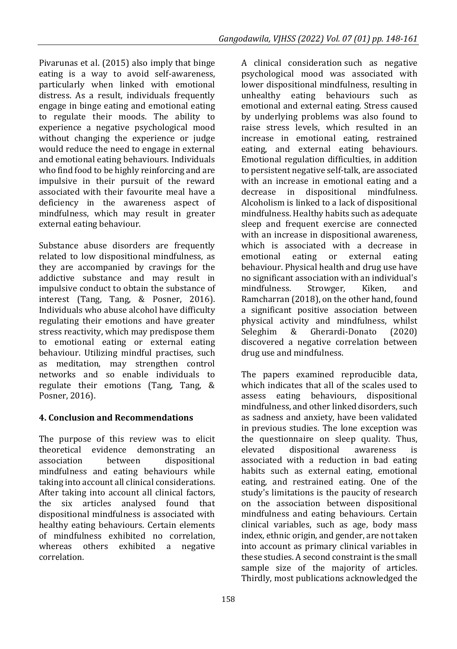Pivarunas et al. (2015) also imply that binge eating is a way to avoid self-awareness, particularly when linked with emotional distress. As a result, individuals frequently engage in binge eating and emotional eating to regulate their moods. The ability to experience a negative psychological mood without changing the experience or judge would reduce the need to engage in external and emotional eating behaviours. Individuals who find food to be highly reinforcing and are impulsive in their pursuit of the reward associated with their favourite meal have a deficiency in the awareness aspect of mindfulness, which may result in greater external eating behaviour.

Substance abuse disorders are frequently related to low dispositional mindfulness, as they are accompanied by cravings for the addictive substance and may result in impulsive conduct to obtain the substance of interest (Tang, Tang, & Posner, 2016). Individuals who abuse alcohol have difficulty regulating their emotions and have greater stress reactivity, which may predispose them to emotional eating or external eating behaviour. Utilizing mindful practises, such as meditation, may strengthen control networks and so enable individuals to regulate their emotions (Tang, Tang, & Posner, 2016).

## **4. Conclusion and Recommendations**

The purpose of this review was to elicit theoretical evidence demonstrating an association between dispositional mindfulness and eating behaviours while taking into account all clinical considerations. After taking into account all clinical factors, the six articles analysed found that dispositional mindfulness is associated with healthy eating behaviours. Certain elements of mindfulness exhibited no correlation, whereas others exhibited a negative correlation.

A clinical consideration such as negative psychological mood was associated with lower dispositional mindfulness, resulting in unhealthy eating behaviours such as emotional and external eating. Stress caused by underlying problems was also found to raise stress levels, which resulted in an increase in emotional eating, restrained eating, and external eating behaviours. Emotional regulation difficulties, in addition to persistent negative self-talk, are associated with an increase in emotional eating and a decrease in dispositional mindfulness. Alcoholism is linked to a lack of dispositional mindfulness. Healthy habits such as adequate sleep and frequent exercise are connected with an increase in dispositional awareness, which is associated with a decrease in emotional eating or external eating behaviour. Physical health and drug use have no significant association with an individual's mindfulness. Strowger, Kiken, and Ramcharran (2018), on the other hand, found a significant positive association between physical activity and mindfulness, whilst Seleghim & Gherardi-Donato (2020) discovered a negative correlation between drug use and mindfulness.

The papers examined reproducible data, which indicates that all of the scales used to assess eating behaviours, dispositional mindfulness, and other linked disorders, such as sadness and anxiety, have been validated in previous studies. The lone exception was the questionnaire on sleep quality. Thus, elevated dispositional awareness is associated with a reduction in bad eating habits such as external eating, emotional eating, and restrained eating. One of the study's limitations is the paucity of research on the association between dispositional mindfulness and eating behaviours. Certain clinical variables, such as age, body mass index, ethnic origin, and gender, are not taken into account as primary clinical variables in these studies. A second constraint is the small sample size of the majority of articles. Thirdly, most publications acknowledged the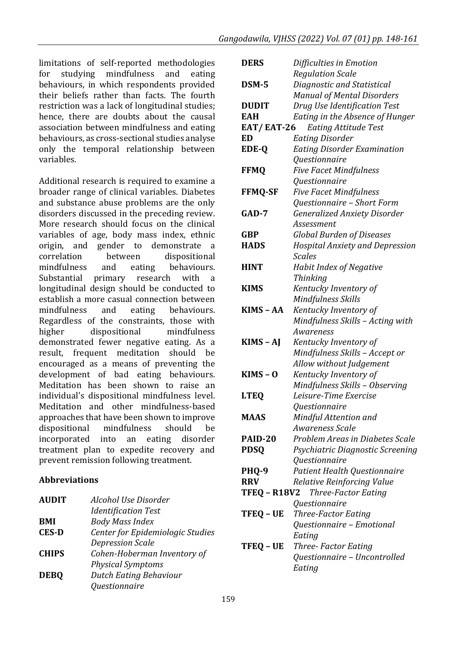limitations of self-reported methodologies for studying mindfulness and eating behaviours, in which respondents provided their beliefs rather than facts. The fourth restriction was a lack of longitudinal studies; hence, there are doubts about the causal association between mindfulness and eating behaviours, as cross-sectional studies analyse only the temporal relationship between variables.

Additional research is required to examine a broader range of clinical variables. Diabetes and substance abuse problems are the only disorders discussed in the preceding review. More research should focus on the clinical variables of age, body mass index, ethnic origin, and gender to demonstrate a correlation between dispositional mindfulness and eating behaviours. Substantial primary research with a longitudinal design should be conducted to establish a more casual connection between mindfulness and eating behaviours. Regardless of the constraints, those with higher dispositional mindfulness demonstrated fewer negative eating. As a result, frequent meditation should be encouraged as a means of preventing the development of bad eating behaviours. Meditation has been shown to raise an individual's dispositional mindfulness level. Meditation and other mindfulness-based approaches that have been shown to improve dispositional mindfulness should be incorporated into an eating disorder treatment plan to expedite recovery and prevent remission following treatment.

#### **Abbreviations**

| <b>AUDIT</b> | Alcohol Use Disorder             |
|--------------|----------------------------------|
|              | <b>Identification Test</b>       |
| <b>BMI</b>   | <b>Body Mass Index</b>           |
| <b>CES-D</b> | Center for Epidemiologic Studies |
|              | <b>Depression Scale</b>          |
| <b>CHIPS</b> | Cohen-Hoberman Inventory of      |
|              | <b>Physical Symptoms</b>         |
| <b>DEBQ</b>  | Dutch Eating Behaviour           |
|              | Questionnaire                    |

| <b>DERS</b>         | Difficulties in Emotion                          |
|---------------------|--------------------------------------------------|
|                     | <b>Regulation Scale</b>                          |
| DSM-5               | Diagnostic and Statistical                       |
|                     | <b>Manual of Mental Disorders</b>                |
| <b>DUDIT</b>        | Drug Use Identification Test                     |
| <b>EAH</b>          | Eating in the Absence of Hunger                  |
| <b>EAT/EAT-26</b>   | <b>Eating Attitude Test</b>                      |
| ED                  | <b>Eating Disorder</b>                           |
| EDE-Q               | Eating Disorder Examination                      |
|                     | Questionnaire                                    |
| <b>FFMQ</b>         | <b>Five Facet Mindfulness</b>                    |
|                     | Questionnaire                                    |
| <b>FFMQ-SF</b>      | <b>Five Facet Mindfulness</b>                    |
|                     | Questionnaire - Short Form                       |
| $GAD-7$             | <b>Generalized Anxiety Disorder</b>              |
|                     | Assessment                                       |
| GBP                 | <b>Global Burden of Diseases</b>                 |
| <b>HADS</b>         | <b>Hospital Anxiety and Depression</b>           |
|                     | <b>Scales</b>                                    |
| <b>HINT</b>         | Habit Index of Negative                          |
|                     | Thinking                                         |
| <b>KIMS</b>         | Kentucky Inventory of                            |
|                     | Mindfulness Skills                               |
| KIMS - AA           | Kentucky Inventory of                            |
|                     | Mindfulness Skills - Acting with                 |
|                     | Awareness                                        |
| KIMS-AJ             | Kentucky Inventory of                            |
|                     | Mindfulness Skills - Accept or                   |
|                     | Allow without Judgement                          |
| $KIMS - O$          | Kentucky Inventory of                            |
|                     | Mindfulness Skills - Observing                   |
| <b>LTEQ</b>         | Leisure-Time Exercise                            |
|                     | Questionnaire                                    |
| <b>MAAS</b>         | Mindful Attention and                            |
|                     | Awareness Scale                                  |
| PAID-20             | Problem Areas in Diabetes Scale                  |
| <b>PDSQ</b>         | Psychiatric Diagnostic Screening                 |
|                     | Questionnaire                                    |
| PHQ-9               | Patient Health Questionnaire                     |
| <b>RRV</b>          | Relative Reinforcing Value                       |
| <b>TFEQ - R18V2</b> | Three-Factor Eating                              |
|                     | Questionnaire                                    |
| <b>TFEQ - UE</b>    |                                                  |
|                     | Three-Factor Eating<br>Questionnaire - Emotional |
|                     | Eating                                           |
| TFEQ - UE           | Three-Factor Eating                              |
|                     |                                                  |
|                     | Questionnaire - Uncontrolled                     |
|                     | Eating                                           |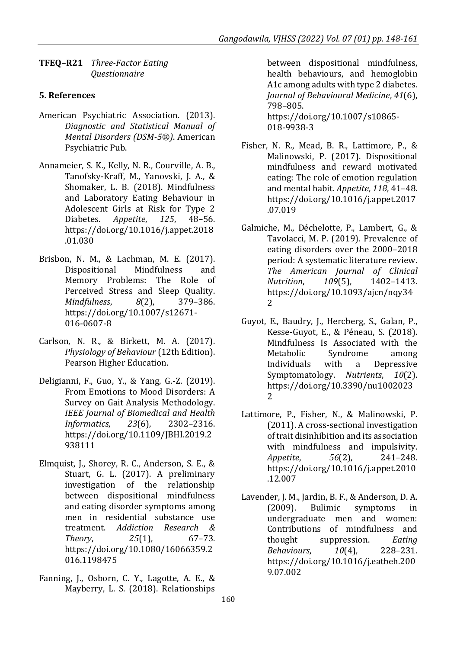**TFEQ–R21** *Three-Factor Eating Questionnaire*

#### **5. References**

- American Psychiatric Association. (2013). *Diagnostic and Statistical Manual of Mental Disorders (DSM-5®)*. American Psychiatric Pub.
- Annameier, S. K., Kelly, N. R., Courville, A. B., Tanofsky-Kraff, M., Yanovski, J. A., & Shomaker, L. B. (2018). Mindfulness and Laboratory Eating Behaviour in Adolescent Girls at Risk for Type 2 Diabetes. *Appetite*, *125*, 48–56. https://doi.org/10.1016/j.appet.2018 .01.030
- Brisbon, N. M., & Lachman, M. E. (2017). Dispositional Mindfulness and Memory Problems: The Role of Perceived Stress and Sleep Quality. *Mindfulness*, *8*(2), 379–386. https://doi.org/10.1007/s12671- 016-0607-8
- Carlson, N. R., & Birkett, M. A. (2017). *Physiology of Behaviour* (12th Edition). Pearson Higher Education.
- Deligianni, F., Guo, Y., & Yang, G.-Z. (2019). From Emotions to Mood Disorders: A Survey on Gait Analysis Methodology. *IEEE Journal of Biomedical and Health Informatics*, *23*(6), 2302–2316. https://doi.org/10.1109/JBHI.2019.2 938111
- Elmquist, J., Shorey, R. C., Anderson, S. E., & Stuart, G. L. (2017). A preliminary investigation of the relationship between dispositional mindfulness and eating disorder symptoms among men in residential substance use treatment. *Addiction Research & Theory*, *25*(1), 67–73. https://doi.org/10.1080/16066359.2 016.1198475
- Fanning, J., Osborn, C. Y., Lagotte, A. E., & Mayberry, L. S. (2018). Relationships

between dispositional mindfulness, health behaviours, and hemoglobin A1c among adults with type 2 diabetes. *Journal of Behavioural Medicine*, *41*(6), 798–805. https://doi.org/10.1007/s10865- 018-9938-3

- Fisher, N. R., Mead, B. R., Lattimore, P., & Malinowski, P. (2017). Dispositional mindfulness and reward motivated eating: The role of emotion regulation and mental habit. *Appetite*, *118*, 41–48. https://doi.org/10.1016/j.appet.2017 .07.019
- Galmiche, M., Déchelotte, P., Lambert, G., & Tavolacci, M. P. (2019). Prevalence of eating disorders over the 2000–2018 period: A systematic literature review. *The American Journal of Clinical Nutrition*, *109*(5), 1402–1413. https://doi.org/10.1093/ajcn/nqy34 2
- Guyot, E., Baudry, J., Hercberg, S., Galan, P., Kesse-Guyot, E., & Péneau, S. (2018). Mindfulness Is Associated with the Metabolic Syndrome among Individuals with a Depressive Symptomatology. *Nutrients*, *10*(2). https://doi.org/10.3390/nu1002023 2
- Lattimore, P., Fisher, N., & Malinowski, P. (2011). A cross-sectional investigation of trait disinhibition and its association with mindfulness and impulsivity. *Appetite*, *56*(2), 241–248. https://doi.org/10.1016/j.appet.2010 .12.007
- Lavender, J. M., Jardin, B. F., & Anderson, D. A. (2009). Bulimic symptoms in undergraduate men and women: Contributions of mindfulness and thought suppression. *Eating Behaviours*, *10*(4), 228–231. https://doi.org/10.1016/j.eatbeh.200 9.07.002